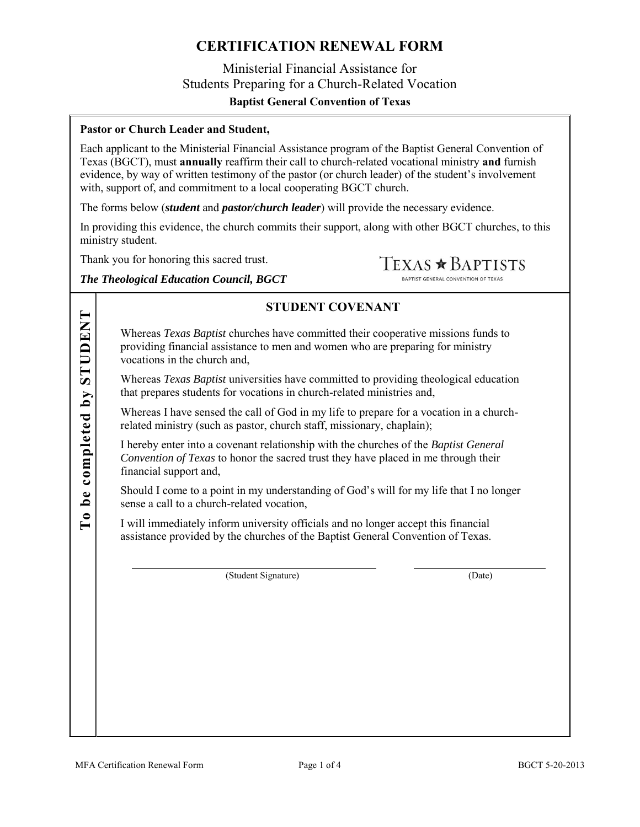#### Ministerial Financial Assistance for Students Preparing for a Church-Related Vocation **Baptist General Convention of Texas**

#### **Pastor or Church Leader and Student,**

Each applicant to the Ministerial Financial Assistance program of the Baptist General Convention of Texas (BGCT), must **annually** reaffirm their call to church-related vocational ministry **and** furnish evidence, by way of written testimony of the pastor (or church leader) of the student's involvement with, support of, and commitment to a local cooperating BGCT church.

The forms below (*student* and *pastor/church leader*) will provide the necessary evidence.

In providing this evidence, the church commits their support, along with other BGCT churches, to this ministry student.

> TEXAS \* BAPTISTS BAPTIST GENERAL CONVENTION OF TEXAS

Thank you for honoring this sacred trust.

# *The Theological Education Council, BGCT*

|                        | <b>STUDENT COVENANT</b>                                                                                                                                                                                    |
|------------------------|------------------------------------------------------------------------------------------------------------------------------------------------------------------------------------------------------------|
| <b>STUDENT</b>         | Whereas <i>Texas Baptist</i> churches have committed their cooperative missions funds to<br>providing financial assistance to men and women who are preparing for ministry<br>vocations in the church and, |
| completed by           | Whereas <i>Texas Baptist</i> universities have committed to providing theological education<br>that prepares students for vocations in church-related ministries and,                                      |
|                        | Whereas I have sensed the call of God in my life to prepare for a vocation in a church-<br>related ministry (such as pastor, church staff, missionary, chaplain);                                          |
|                        | I hereby enter into a covenant relationship with the churches of the Baptist General<br>Convention of Texas to honor the sacred trust they have placed in me through their<br>financial support and,       |
| $\mathbf{b}\mathbf{e}$ | Should I come to a point in my understanding of God's will for my life that I no longer<br>sense a call to a church-related vocation,                                                                      |
| $\Gamma$ o             | I will immediately inform university officials and no longer accept this financial<br>assistance provided by the churches of the Baptist General Convention of Texas.                                      |
|                        | (Student Signature)<br>(Date)                                                                                                                                                                              |
|                        |                                                                                                                                                                                                            |
|                        |                                                                                                                                                                                                            |
|                        |                                                                                                                                                                                                            |
|                        |                                                                                                                                                                                                            |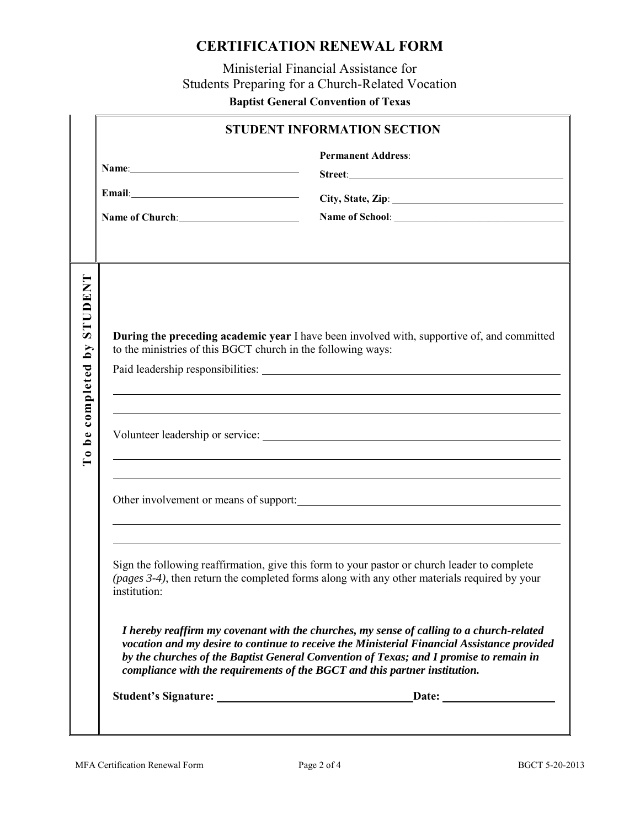Ministerial Financial Assistance for Students Preparing for a Church-Related Vocation **Baptist General Convention of Texas**

|                                                  | Name: Name:<br>Email: No. 1998<br>Name of Church: 1999                                 | <b>Permanent Address:</b>                                                                                                                                                                                                                                                                          |
|--------------------------------------------------|----------------------------------------------------------------------------------------|----------------------------------------------------------------------------------------------------------------------------------------------------------------------------------------------------------------------------------------------------------------------------------------------------|
| <b>STUDENT</b><br>$\mathbf{v}$ q<br>be completed | to the ministries of this BGCT church in the following ways:                           | <b>During the preceding academic year I have been involved with, supportive of, and committed</b><br>Paid leadership responsibilities:<br>,我们也不会有什么。""我们的人,我们也不会有什么?""我们的人,我们也不会有什么?""我们的人,我们也不会有什么?""我们的人,我们也不会有什么?""我们的人                                                                         |
| $\Gamma$ o                                       |                                                                                        | ,我们也不会有什么。""我们的人,我们也不会有什么?""我们的人,我们也不会有什么?""我们的人,我们也不会有什么?""我们的人,我们也不会有什么?""我们的人<br>,我们也不会有什么。""我们的人,我们也不会有什么?""我们的人,我们也不会有什么?""我们的人,我们也不会有什么?""我们的人,我们也不会有什么?""我们的人<br>Other involvement or means of support:<br>,我们也不会有一个人的人,我们也不会有一个人的人,我们也不会有一个人的人。""我们,我们也不会有一个人的人,我们也不会有一个人的人,我们也不会有一个人的人,我们 |
|                                                  | institution:                                                                           | Sign the following reaffirmation, give this form to your pastor or church leader to complete<br>(pages 3-4), then return the completed forms along with any other materials required by your                                                                                                       |
|                                                  |                                                                                        | I hereby reaffirm my covenant with the churches, my sense of calling to a church-related<br>vocation and my desire to continue to receive the Ministerial Financial Assistance provided                                                                                                            |
|                                                  | by the churches of the Baptist General Convention of Texas; and I promise to remain in | compliance with the requirements of the BGCT and this partner institution.                                                                                                                                                                                                                         |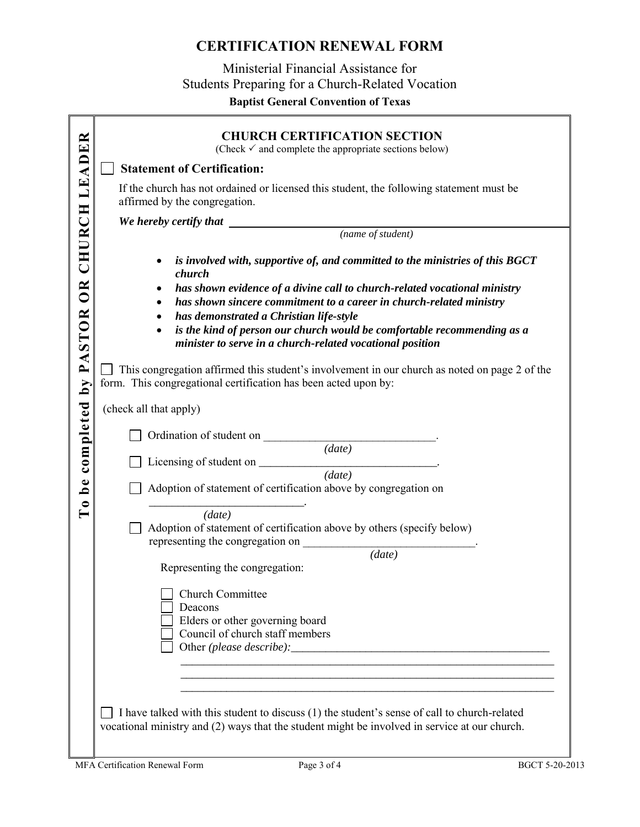Ministerial Financial Assistance for Students Preparing for a Church-Related Vocation

**Baptist General Convention of Texas**

|                    | <b>CHURCH CERTIFICATION SECTION</b><br>(Check $\checkmark$ and complete the appropriate sections below)                                                                                       |
|--------------------|-----------------------------------------------------------------------------------------------------------------------------------------------------------------------------------------------|
|                    | <b>Statement of Certification:</b>                                                                                                                                                            |
| CHURCH LEADER      | If the church has not ordained or licensed this student, the following statement must be<br>affirmed by the congregation.                                                                     |
|                    |                                                                                                                                                                                               |
|                    | (name of student)                                                                                                                                                                             |
|                    | is involved with, supportive of, and committed to the ministries of this BGCT<br>church                                                                                                       |
|                    | has shown evidence of a divine call to church-related vocational ministry<br>٠                                                                                                                |
|                    | has shown sincere commitment to a career in church-related ministry<br>٠                                                                                                                      |
|                    | has demonstrated a Christian life-style<br>٠                                                                                                                                                  |
| PASTOR OR          | is the kind of person our church would be comfortable recommending as a<br>٠<br>minister to serve in a church-related vocational position                                                     |
| $\mathbf{\hat{A}}$ | This congregation affirmed this student's involvement in our church as noted on page 2 of the<br>form. This congregational certification has been acted upon by:                              |
|                    | (check all that apply)                                                                                                                                                                        |
|                    |                                                                                                                                                                                               |
|                    | $\overline{(date)}$                                                                                                                                                                           |
| be completed       | $\overline{(date)}$<br>Adoption of statement of certification above by congregation on                                                                                                        |
| $\bullet$          | (data)                                                                                                                                                                                        |
|                    | Adoption of statement of certification above by others (specify below)                                                                                                                        |
|                    | $\overline{(date)}$                                                                                                                                                                           |
|                    | Representing the congregation:                                                                                                                                                                |
|                    | <b>Church Committee</b><br>Deacons<br>Elders or other governing board<br>Council of church staff members                                                                                      |
|                    |                                                                                                                                                                                               |
|                    | I have talked with this student to discuss (1) the student's sense of call to church-related<br>vocational ministry and (2) ways that the student might be involved in service at our church. |
|                    | MFA Certification Renewal Form<br>Page 3 of 4<br>BGCT 5-20-2013                                                                                                                               |